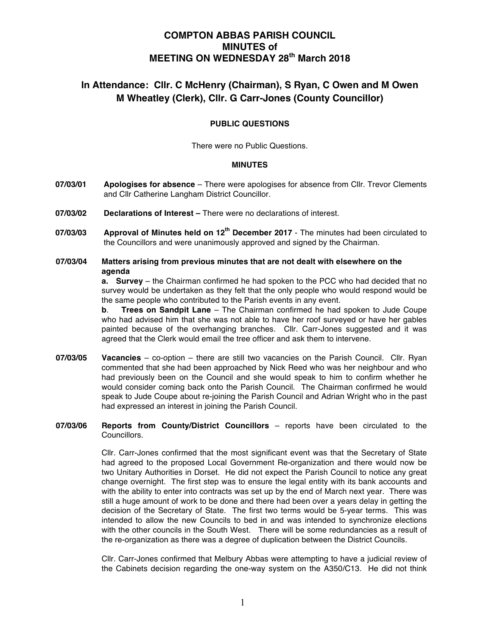# **COMPTON ABBAS PARISH COUNCIL MINUTES of MEETING ON WEDNESDAY 28th March 2018**

# **In Attendance: Cllr. C McHenry (Chairman), S Ryan, C Owen and M Owen M Wheatley (Clerk), Cllr. G Carr-Jones (County Councillor)**

# **PUBLIC QUESTIONS**

There were no Public Questions.

# **MINUTES**

- **07/03/01 Apologises for absence**  There were apologises for absence from Cllr. Trevor Clements and Cllr Catherine Langham District Councillor.
- **07/03/02 Declarations of Interest –** There were no declarations of interest.
- **07/03/03 Approval of Minutes held on 12th December 2017** The minutes had been circulated to the Councillors and were unanimously approved and signed by the Chairman.
- **07/03/04 Matters arising from previous minutes that are not dealt with elsewhere on the agenda**

**a. Survey** – the Chairman confirmed he had spoken to the PCC who had decided that no survey would be undertaken as they felt that the only people who would respond would be the same people who contributed to the Parish events in any event.

**b**. **Trees on Sandpit Lane** – The Chairman confirmed he had spoken to Jude Coupe who had advised him that she was not able to have her roof surveyed or have her gables painted because of the overhanging branches. Cllr. Carr-Jones suggested and it was agreed that the Clerk would email the tree officer and ask them to intervene.

- **07/03/05 Vacancies** co-option there are still two vacancies on the Parish Council. Cllr. Ryan commented that she had been approached by Nick Reed who was her neighbour and who had previously been on the Council and she would speak to him to confirm whether he would consider coming back onto the Parish Council. The Chairman confirmed he would speak to Jude Coupe about re-joining the Parish Council and Adrian Wright who in the past had expressed an interest in joining the Parish Council.
- **07/03/06 Reports from County/District Councillors**  reports have been circulated to the Councillors.

Cllr. Carr-Jones confirmed that the most significant event was that the Secretary of State had agreed to the proposed Local Government Re-organization and there would now be two Unitary Authorities in Dorset. He did not expect the Parish Council to notice any great change overnight. The first step was to ensure the legal entity with its bank accounts and with the ability to enter into contracts was set up by the end of March next year. There was still a huge amount of work to be done and there had been over a years delay in getting the decision of the Secretary of State. The first two terms would be 5-year terms. This was intended to allow the new Councils to bed in and was intended to synchronize elections with the other councils in the South West. There will be some redundancies as a result of the re-organization as there was a degree of duplication between the District Councils.

Cllr. Carr-Jones confirmed that Melbury Abbas were attempting to have a judicial review of the Cabinets decision regarding the one-way system on the A350/C13. He did not think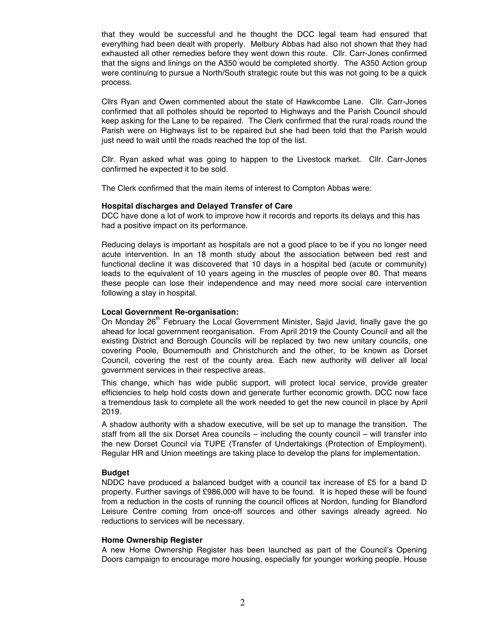that they would be successful and he thought the DCC legal team had ensured that everything had been dealt with properly. Melbury Abbas had also not shown that they had exhausted all other remedies before they went down this route. Cllr. Carr-Jones confirmed that the signs and linings on the A350 would be completed shortly. The A350 Action group were continuing to pursue a North/South strategic route but this was not going to be a quick process.

Cllrs Ryan and Owen commented about the state of Hawkcombe Lane. Cllr. Carr-Jones confirmed that all potholes should be reported to Highways and the Parish Council should keep asking for the Lane to be repaired. The Clerk confirmed that the rural roads round the Parish were on Highways list to be repaired but she had been told that the Parish would just need to wait until the roads reached the top of the list.

Cllr. Ryan asked what was going to happen to the Livestock market. Cllr. Carr-Jones confirmed he expected it to be sold.

The Clerk confirmed that the main items of interest to Compton Abbas were:

## **Hospital discharges and Delayed Transfer of Care**

DCC have done a lot of work to improve how it records and reports its delays and this has had a positive impact on its performance.

Reducing delays is important as hospitals are not a good place to be if you no longer need acute intervention. In an 18 month study about the association between bed rest and functional decline it was discovered that 10 days in a hospital bed (acute or community) leads to the equivalent of 10 years ageing in the muscles of people over 80. That means these people can lose their independence and may need more social care intervention following a stay in hospital.

## **Local Government Re-organisation:**

On Monday  $26<sup>th</sup>$  February the Local Government Minister, Sajid Javid, finally gave the go ahead for local government reorganisation. From April 2019 the County Council and all the existing District and Borough Councils will be replaced by two new unitary councils, one covering Poole, Bournemouth and Christchurch and the other, to be known as Dorset Council, covering the rest of the county area. Each new authority will deliver all local government services in their respective areas.

This change, which has wide public support, will protect local service, provide greater efficiencies to help hold costs down and generate further economic growth. DCC now face a tremendous task to complete all the work needed to get the new council in place by April 2019.

A shadow authority with a shadow executive, will be set up to manage the transition. The staff from all the six Dorset Area councils – including the county council – will transfer into the new Dorset Council via TUPE (Transfer of Undertakings (Protection of Employment). Regular HR and Union meetings are taking place to develop the plans for implementation.

# **Budget**

NDDC have produced a balanced budget with a council tax increase of £5 for a band D property. Further savings of £986,000 will have to be found. It is hoped these will be found from a reduction in the costs of running the council offices at Nordon, funding for Blandford Leisure Centre coming from once-off sources and other savings already agreed. No reductions to services will be necessary.

#### **Home Ownership Register**

A new Home Ownership Register has been launched as part of the Council's Opening Doors campaign to encourage more housing, especially for younger working people. House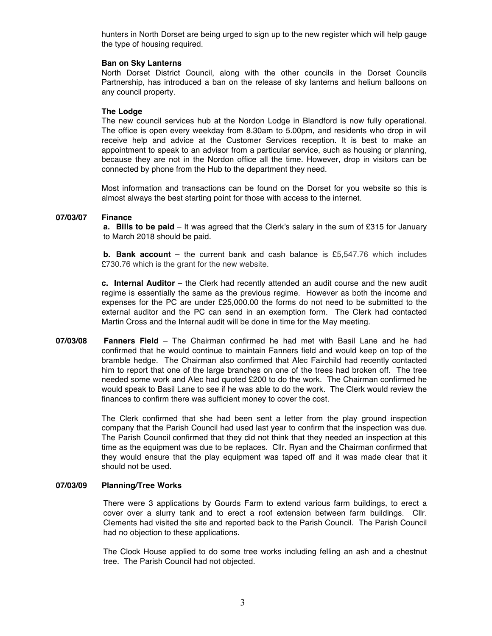hunters in North Dorset are being urged to sign up to the new register which will help gauge the type of housing required.

## **Ban on Sky Lanterns**

North Dorset District Council, along with the other councils in the Dorset Councils Partnership, has introduced a ban on the release of sky lanterns and helium balloons on any council property.

# **The Lodge**

The new council services hub at the Nordon Lodge in Blandford is now fully operational. The office is open every weekday from 8.30am to 5.00pm, and residents who drop in will receive help and advice at the Customer Services reception. It is best to make an appointment to speak to an advisor from a particular service, such as housing or planning, because they are not in the Nordon office all the time. However, drop in visitors can be connected by phone from the Hub to the department they need.

Most information and transactions can be found on the Dorset for you website so this is almost always the best starting point for those with access to the internet.

# **07/03/07 Finance**

**a. Bills to be paid** – It was agreed that the Clerk's salary in the sum of £315 for January to March 2018 should be paid.

**b. Bank account** – the current bank and cash balance is £5,547.76 which includes £730.76 which is the grant for the new website.

**c. Internal Auditor** – the Clerk had recently attended an audit course and the new audit regime is essentially the same as the previous regime. However as both the income and expenses for the PC are under £25,000.00 the forms do not need to be submitted to the external auditor and the PC can send in an exemption form. The Clerk had contacted Martin Cross and the Internal audit will be done in time for the May meeting.

**07/03/08 Fanners Field** – The Chairman confirmed he had met with Basil Lane and he had confirmed that he would continue to maintain Fanners field and would keep on top of the bramble hedge. The Chairman also confirmed that Alec Fairchild had recently contacted him to report that one of the large branches on one of the trees had broken off. The tree needed some work and Alec had quoted £200 to do the work. The Chairman confirmed he would speak to Basil Lane to see if he was able to do the work. The Clerk would review the finances to confirm there was sufficient money to cover the cost.

> The Clerk confirmed that she had been sent a letter from the play ground inspection company that the Parish Council had used last year to confirm that the inspection was due. The Parish Council confirmed that they did not think that they needed an inspection at this time as the equipment was due to be replaces. Cllr. Ryan and the Chairman confirmed that they would ensure that the play equipment was taped off and it was made clear that it should not be used.

# **07/03/09 Planning/Tree Works**

There were 3 applications by Gourds Farm to extend various farm buildings, to erect a cover over a slurry tank and to erect a roof extension between farm buildings. Cllr. Clements had visited the site and reported back to the Parish Council. The Parish Council had no objection to these applications.

The Clock House applied to do some tree works including felling an ash and a chestnut tree. The Parish Council had not objected.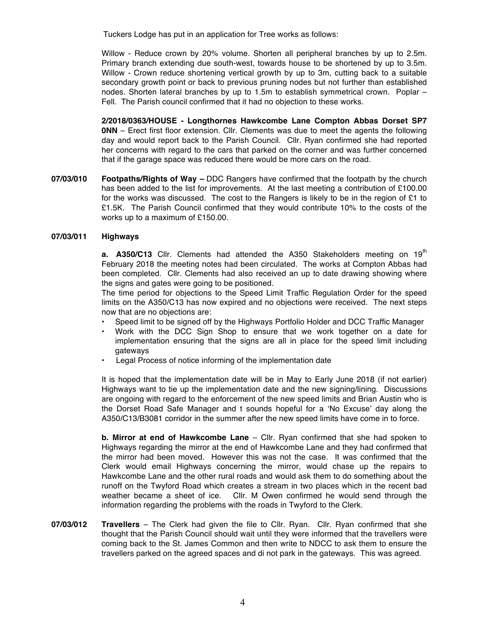Tuckers Lodge has put in an application for Tree works as follows:

Willow - Reduce crown by 20% volume. Shorten all peripheral branches by up to 2.5m. Primary branch extending due south-west, towards house to be shortened by up to 3.5m. Willow - Crown reduce shortening vertical growth by up to 3m, cutting back to a suitable secondary growth point or back to previous pruning nodes but not further than established nodes. Shorten lateral branches by up to 1.5m to establish symmetrical crown. Poplar – Fell. The Parish council confirmed that it had no objection to these works.

**2/2018/0363/HOUSE - Longthornes Hawkcombe Lane Compton Abbas Dorset SP7 0NN** – Erect first floor extension. Cllr. Clements was due to meet the agents the following day and would report back to the Parish Council. Cllr. Ryan confirmed she had reported her concerns with regard to the cars that parked on the corner and was further concerned that if the garage space was reduced there would be more cars on the road.

**07/03/010 Footpaths/Rights of Way** *–* DDC Rangers have confirmed that the footpath by the church has been added to the list for improvements. At the last meeting a contribution of £100.00 for the works was discussed. The cost to the Rangers is likely to be in the region of £1 to £1.5K. The Parish Council confirmed that they would contribute 10% to the costs of the works up to a maximum of £150.00.

## **07/03/011 Highways**

**a. A350/C13** Cllr. Clements had attended the A350 Stakeholders meeting on 19<sup>th</sup> February 2018 the meeting notes had been circulated. The works at Compton Abbas had been completed. Cllr. Clements had also received an up to date drawing showing where the signs and gates were going to be positioned.

The time period for objections to the Speed Limit Traffic Regulation Order for the speed limits on the A350/C13 has now expired and no objections were received. The next steps now that are no objections are:

- Speed limit to be signed off by the Highways Portfolio Holder and DCC Traffic Manager
- Work with the DCC Sign Shop to ensure that we work together on a date for implementation ensuring that the signs are all in place for the speed limit including gateways
- Legal Process of notice informing of the implementation date

It is hoped that the implementation date will be in May to Early June 2018 (if not earlier) Highways want to tie up the implementation date and the new signing/lining. Discussions are ongoing with regard to the enforcement of the new speed limits and Brian Austin who is the Dorset Road Safe Manager and t sounds hopeful for a 'No Excuse' day along the A350/C13/B3081 corridor in the summer after the new speed limits have come in to force.

**b. Mirror at end of Hawkcombe Lane** – Cllr. Ryan confirmed that she had spoken to Highways regarding the mirror at the end of Hawkcombe Lane and they had confirmed that the mirror had been moved. However this was not the case. It was confirmed that the Clerk would email Highways concerning the mirror, would chase up the repairs to Hawkcombe Lane and the other rural roads and would ask them to do something about the runoff on the Twyford Road which creates a stream in two places which in the recent bad weather became a sheet of ice. Cllr. M Owen confirmed he would send through the information regarding the problems with the roads in Twyford to the Clerk.

**07/03/012 Travellers** – The Clerk had given the file to Cllr. Ryan. Cllr. Ryan confirmed that she thought that the Parish Council should wait until they were informed that the travellers were coming back to the St. James Common and then write to NDCC to ask them to ensure the travellers parked on the agreed spaces and di not park in the gateways. This was agreed.